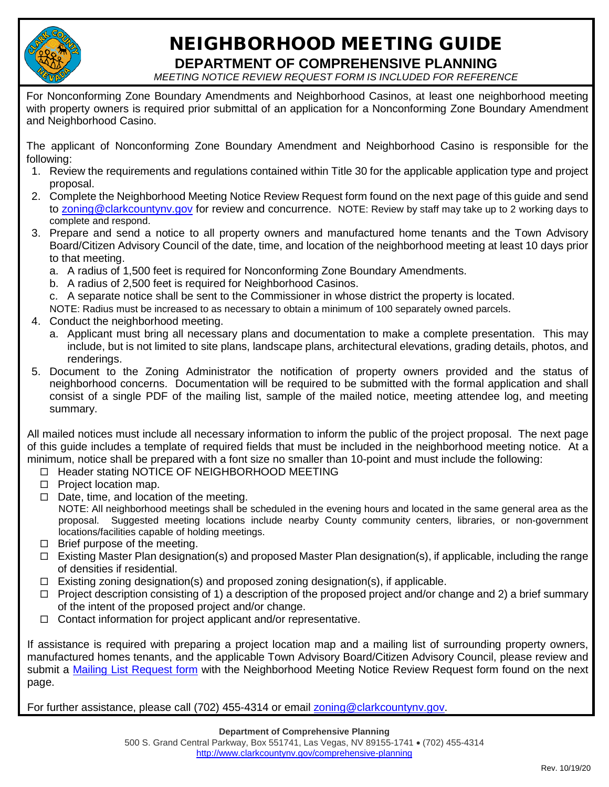

## NEIGHBORHOOD MEETING GUIDE

**DEPARTMENT OF COMPREHENSIVE PLANNING** *MEETING NOTICE REVIEW REQUEST FORM IS INCLUDED FOR REFERENCE*

For Nonconforming Zone Boundary Amendments and Neighborhood Casinos, at least one neighborhood meeting with property owners is required prior submittal of an application for a Nonconforming Zone Boundary Amendment and Neighborhood Casino.

The applicant of Nonconforming Zone Boundary Amendment and Neighborhood Casino is responsible for the following:

- 1. Review the requirements and regulations contained within Title 30 for the applicable application type and project proposal.
- 2. Complete the Neighborhood Meeting Notice Review Request form found on the next page of this guide and send to zoning@clarkcountynv.gov for review and concurrence. NOTE: Review by staff may take up to 2 working days to complete and respond.
- 3. Prepare and send a notice to all property owners and manufactured home tenants and the Town Advisory Board/Citizen Advisory Council of the date, time, and location of the neighborhood meeting at least 10 days prior to that meeting.
	- a. A radius of 1,500 feet is required for Nonconforming Zone Boundary Amendments.
	- b. A radius of 2,500 feet is required for Neighborhood Casinos.

c. A separate notice shall be sent to the Commissioner in whose district the property is located.

NOTE: Radius must be increased to as necessary to obtain a minimum of 100 separately owned parcels.

- 4. Conduct the neighborhood meeting.
	- a. Applicant must bring all necessary plans and documentation to make a complete presentation. This may include, but is not limited to site plans, landscape plans, architectural elevations, grading details, photos, and renderings.
- 5. Document to the Zoning Administrator the notification of property owners provided and the status of neighborhood concerns. Documentation will be required to be submitted with the formal application and shall consist of a single PDF of the mailing list, sample of the mailed notice, meeting attendee log, and meeting summary.

All mailed notices must include all necessary information to inform the public of the project proposal. The next page of this guide includes a template of required fields that must be included in the neighborhood meeting notice. At a minimum, notice shall be prepared with a font size no smaller than 10-point and must include the following:

- □ Header stating NOTICE OF NEIGHBORHOOD MEETING
- $\Box$  Project location map.
- $\Box$  Date, time, and location of the meeting. NOTE: All neighborhood meetings shall be scheduled in the evening hours and located in the same general area as the proposal. Suggested meeting locations include nearby County community centers, libraries, or non-government locations/facilities capable of holding meetings.
- $\Box$  Brief purpose of the meeting.
- $\Box$  Existing Master Plan designation(s) and proposed Master Plan designation(s), if applicable, including the range of densities if residential.
- $\Box$  Existing zoning designation(s) and proposed zoning designation(s), if applicable.
- $\Box$  Project description consisting of 1) a description of the proposed project and/or change and 2) a brief summary of the intent of the proposed project and/or change.
- $\Box$  Contact information for project applicant and/or representative.

If assistance is required with preparing a project location map and a mailing list of surrounding property owners, manufactured homes tenants, and the applicable Town Advisory Board/Citizen Advisory Council, please review and submit a Mailing List Request form with the Neighborhood Meeting Notice Review Request form found on the next page.

For further assistance, please call (702) 455-4314 or email zoning@clarkcountynv.gov.